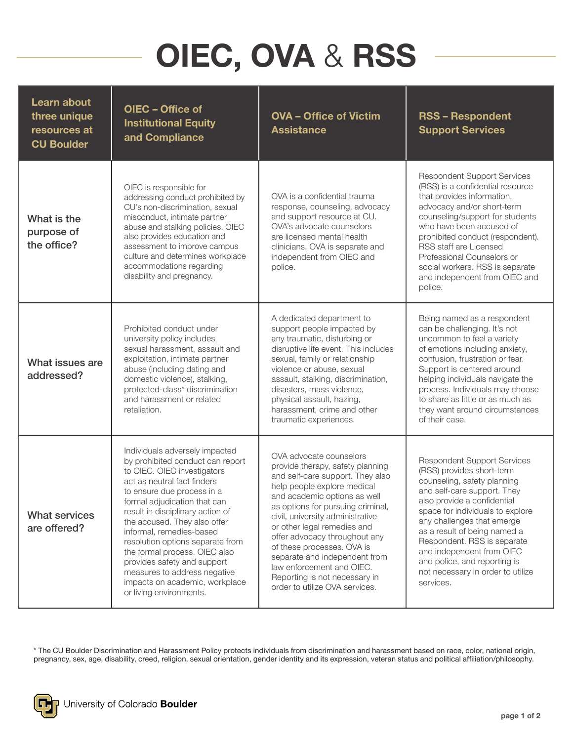## OIEC, OVA & RSS

| Learn about<br>three unique<br>resources at<br><b>CU Boulder</b> | OIEC - Office of<br><b>Institutional Equity</b><br>and Compliance                                                                                                                                                                                                                                                                                                                                                                                                                               | <b>OVA - Office of Victim</b><br><b>Assistance</b>                                                                                                                                                                                                                                                                                                                                                                                                                     | <b>RSS-Respondent</b><br><b>Support Services</b>                                                                                                                                                                                                                                                                                                                                                             |
|------------------------------------------------------------------|-------------------------------------------------------------------------------------------------------------------------------------------------------------------------------------------------------------------------------------------------------------------------------------------------------------------------------------------------------------------------------------------------------------------------------------------------------------------------------------------------|------------------------------------------------------------------------------------------------------------------------------------------------------------------------------------------------------------------------------------------------------------------------------------------------------------------------------------------------------------------------------------------------------------------------------------------------------------------------|--------------------------------------------------------------------------------------------------------------------------------------------------------------------------------------------------------------------------------------------------------------------------------------------------------------------------------------------------------------------------------------------------------------|
| What is the<br>purpose of<br>the office?                         | OIEC is responsible for<br>addressing conduct prohibited by<br>CU's non-discrimination, sexual<br>misconduct, intimate partner<br>abuse and stalking policies. OIEC<br>also provides education and<br>assessment to improve campus<br>culture and determines workplace<br>accommodations regarding<br>disability and pregnancy.                                                                                                                                                                 | OVA is a confidential trauma<br>response, counseling, advocacy<br>and support resource at CU.<br>OVA's advocate counselors<br>are licensed mental health<br>clinicians. OVA is separate and<br>independent from OIEC and<br>police.                                                                                                                                                                                                                                    | <b>Respondent Support Services</b><br>(RSS) is a confidential resource<br>that provides information,<br>advocacy and/or short-term<br>counseling/support for students<br>who have been accused of<br>prohibited conduct (respondent).<br>RSS staff are Licensed<br>Professional Counselors or<br>social workers. RSS is separate<br>and independent from OIEC and<br>police.                                 |
| What issues are<br>addressed?                                    | Prohibited conduct under<br>university policy includes<br>sexual harassment, assault and<br>exploitation, intimate partner<br>abuse (including dating and<br>domestic violence), stalking,<br>protected-class* discrimination<br>and harassment or related<br>retaliation.                                                                                                                                                                                                                      | A dedicated department to<br>support people impacted by<br>any traumatic, disturbing or<br>disruptive life event. This includes<br>sexual, family or relationship<br>violence or abuse, sexual<br>assault, stalking, discrimination,<br>disasters, mass violence,<br>physical assault, hazing,<br>harassment, crime and other<br>traumatic experiences.                                                                                                                | Being named as a respondent<br>can be challenging. It's not<br>uncommon to feel a variety<br>of emotions including anxiety,<br>confusion, frustration or fear.<br>Support is centered around<br>helping individuals navigate the<br>process. Individuals may choose<br>to share as little or as much as<br>they want around circumstances<br>of their case.                                                  |
| <b>What services</b><br>are offered?                             | Individuals adversely impacted<br>by prohibited conduct can report<br>to OIEC. OIEC investigators<br>act as neutral fact finders<br>to ensure due process in a<br>formal adjudication that can<br>result in disciplinary action of<br>the accused. They also offer<br>informal, remedies-based<br>resolution options separate from<br>the formal process. OIEC also<br>provides safety and support<br>measures to address negative<br>impacts on academic, workplace<br>or living environments. | OVA advocate counselors<br>provide therapy, safety planning<br>and self-care support. They also<br>help people explore medical<br>and academic options as well<br>as options for pursuing criminal,<br>civil, university administrative<br>or other legal remedies and<br>offer advocacy throughout any<br>of these processes. OVA is<br>separate and independent from<br>law enforcement and OIEC.<br>Reporting is not necessary in<br>order to utilize OVA services. | <b>Respondent Support Services</b><br>(RSS) provides short-term<br>counseling, safety planning<br>and self-care support. They<br>also provide a confidential<br>space for individuals to explore<br>any challenges that emerge<br>as a result of being named a<br>Respondent. RSS is separate<br>and independent from OIEC<br>and police, and reporting is<br>not necessary in order to utilize<br>services. |

\* The CU Boulder Discrimination and Harassment Policy protects individuals from discrimination and harassment based on race, color, national origin, pregnancy, sex, age, disability, creed, religion, sexual orientation, gender identity and its expression, veteran status and political affiliation/philosophy.